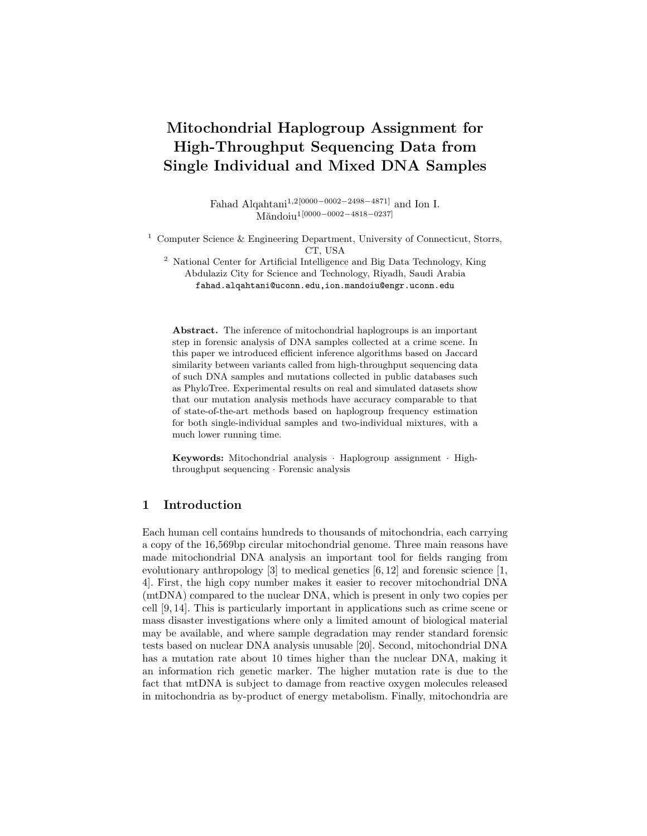# Mitochondrial Haplogroup Assignment for High-Throughput Sequencing Data from Single Individual and Mixed DNA Samples

Fahad Alqahtani $^{1,2\left[0000-0002-2498-4871\right]}$  and Ion I. M˘andoiu1[0000−0002−4818−0237]

<sup>1</sup> Computer Science & Engineering Department, University of Connecticut, Storrs, CT, USA

<sup>2</sup> National Center for Artificial Intelligence and Big Data Technology, King Abdulaziz City for Science and Technology, Riyadh, Saudi Arabia fahad.alqahtani@uconn.edu,ion.mandoiu@engr.uconn.edu

Abstract. The inference of mitochondrial haplogroups is an important step in forensic analysis of DNA samples collected at a crime scene. In this paper we introduced efficient inference algorithms based on Jaccard similarity between variants called from high-throughput sequencing data of such DNA samples and mutations collected in public databases such as PhyloTree. Experimental results on real and simulated datasets show that our mutation analysis methods have accuracy comparable to that of state-of-the-art methods based on haplogroup frequency estimation for both single-individual samples and two-individual mixtures, with a much lower running time.

Keywords: Mitochondrial analysis · Haplogroup assignment · Highthroughput sequencing · Forensic analysis

# 1 Introduction

Each human cell contains hundreds to thousands of mitochondria, each carrying a copy of the 16,569bp circular mitochondrial genome. Three main reasons have made mitochondrial DNA analysis an important tool for fields ranging from evolutionary anthropology [3] to medical genetics [6, 12] and forensic science [1, 4]. First, the high copy number makes it easier to recover mitochondrial DNA (mtDNA) compared to the nuclear DNA, which is present in only two copies per cell [9, 14]. This is particularly important in applications such as crime scene or mass disaster investigations where only a limited amount of biological material may be available, and where sample degradation may render standard forensic tests based on nuclear DNA analysis unusable [20]. Second, mitochondrial DNA has a mutation rate about 10 times higher than the nuclear DNA, making it an information rich genetic marker. The higher mutation rate is due to the fact that mtDNA is subject to damage from reactive oxygen molecules released in mitochondria as by-product of energy metabolism. Finally, mitochondria are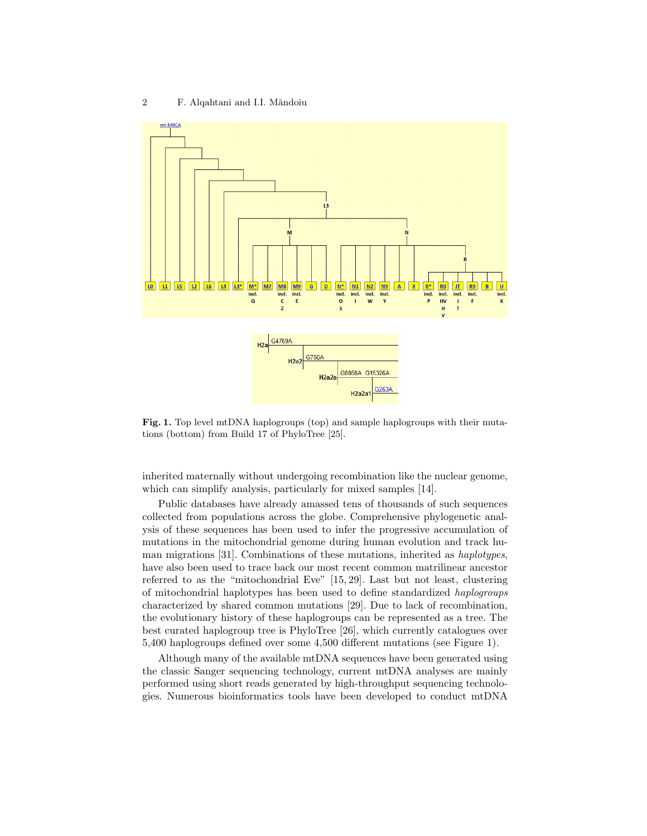

Fig. 1. Top level mtDNA haplogroups (top) and sample haplogroups with their mutations (bottom) from Build 17 of PhyloTree [25].

inherited maternally without undergoing recombination like the nuclear genome, which can simplify analysis, particularly for mixed samples [14].

Public databases have already amassed tens of thousands of such sequences collected from populations across the globe. Comprehensive phylogenetic analysis of these sequences has been used to infer the progressive accumulation of mutations in the mitochondrial genome during human evolution and track human migrations [31]. Combinations of these mutations, inherited as haplotypes, have also been used to trace back our most recent common matrilinear ancestor referred to as the "mitochondrial Eve" [15, 29]. Last but not least, clustering of mitochondrial haplotypes has been used to define standardized haplogroups characterized by shared common mutations [29]. Due to lack of recombination, the evolutionary history of these haplogroups can be represented as a tree. The best curated haplogroup tree is PhyloTree [26], which currently catalogues over 5,400 haplogroups defined over some 4,500 different mutations (see Figure 1).

Although many of the available mtDNA sequences have been generated using the classic Sanger sequencing technology, current mtDNA analyses are mainly performed using short reads generated by high-throughput sequencing technologies. Numerous bioinformatics tools have been developed to conduct mtDNA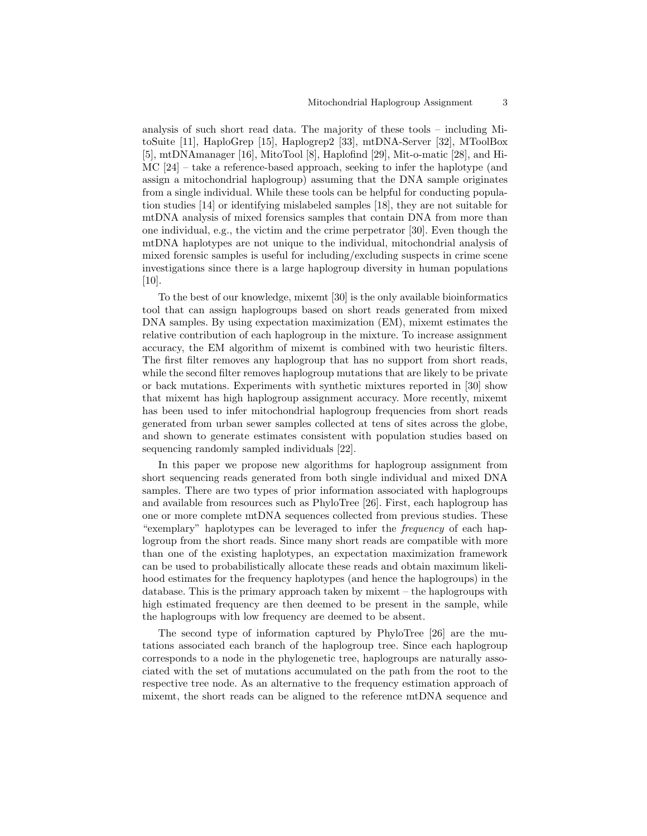analysis of such short read data. The majority of these tools – including MitoSuite [11], HaploGrep [15], Haplogrep2 [33], mtDNA-Server [32], MToolBox [5], mtDNAmanager [16], MitoTool [8], Haplofind [29], Mit-o-matic [28], and Hi-MC [24] – take a reference-based approach, seeking to infer the haplotype (and assign a mitochondrial haplogroup) assuming that the DNA sample originates from a single individual. While these tools can be helpful for conducting population studies [14] or identifying mislabeled samples [18], they are not suitable for mtDNA analysis of mixed forensics samples that contain DNA from more than one individual, e.g., the victim and the crime perpetrator [30]. Even though the mtDNA haplotypes are not unique to the individual, mitochondrial analysis of mixed forensic samples is useful for including/excluding suspects in crime scene investigations since there is a large haplogroup diversity in human populations [10].

To the best of our knowledge, mixemt [30] is the only available bioinformatics tool that can assign haplogroups based on short reads generated from mixed DNA samples. By using expectation maximization (EM), mixemt estimates the relative contribution of each haplogroup in the mixture. To increase assignment accuracy, the EM algorithm of mixemt is combined with two heuristic filters. The first filter removes any haplogroup that has no support from short reads, while the second filter removes haplogroup mutations that are likely to be private or back mutations. Experiments with synthetic mixtures reported in [30] show that mixemt has high haplogroup assignment accuracy. More recently, mixemt has been used to infer mitochondrial haplogroup frequencies from short reads generated from urban sewer samples collected at tens of sites across the globe, and shown to generate estimates consistent with population studies based on sequencing randomly sampled individuals [22].

In this paper we propose new algorithms for haplogroup assignment from short sequencing reads generated from both single individual and mixed DNA samples. There are two types of prior information associated with haplogroups and available from resources such as PhyloTree [26]. First, each haplogroup has one or more complete mtDNA sequences collected from previous studies. These "exemplary" haplotypes can be leveraged to infer the frequency of each haplogroup from the short reads. Since many short reads are compatible with more than one of the existing haplotypes, an expectation maximization framework can be used to probabilistically allocate these reads and obtain maximum likelihood estimates for the frequency haplotypes (and hence the haplogroups) in the database. This is the primary approach taken by mixemt – the haplogroups with high estimated frequency are then deemed to be present in the sample, while the haplogroups with low frequency are deemed to be absent.

The second type of information captured by PhyloTree [26] are the mutations associated each branch of the haplogroup tree. Since each haplogroup corresponds to a node in the phylogenetic tree, haplogroups are naturally associated with the set of mutations accumulated on the path from the root to the respective tree node. As an alternative to the frequency estimation approach of mixemt, the short reads can be aligned to the reference mtDNA sequence and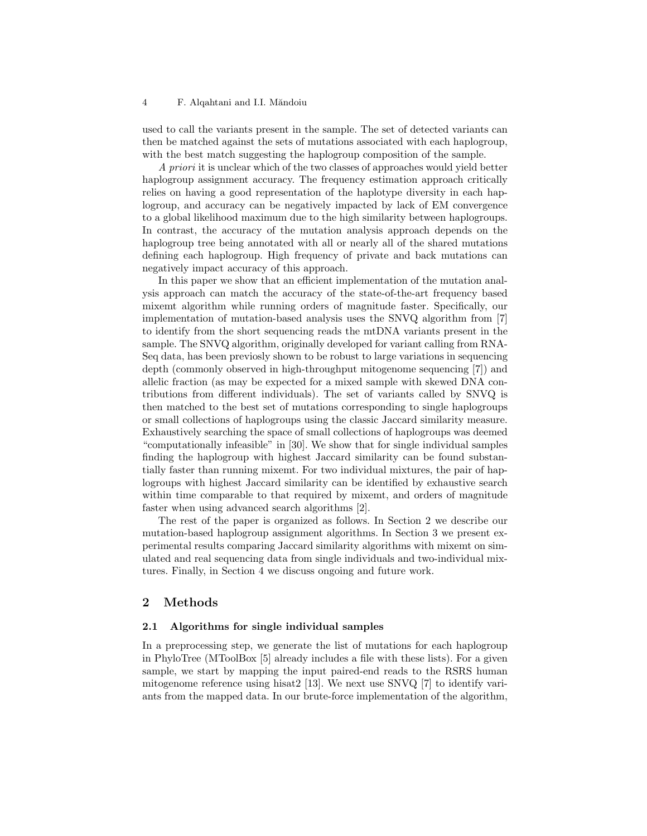used to call the variants present in the sample. The set of detected variants can then be matched against the sets of mutations associated with each haplogroup, with the best match suggesting the haplogroup composition of the sample.

A priori it is unclear which of the two classes of approaches would yield better haplogroup assignment accuracy. The frequency estimation approach critically relies on having a good representation of the haplotype diversity in each haplogroup, and accuracy can be negatively impacted by lack of EM convergence to a global likelihood maximum due to the high similarity between haplogroups. In contrast, the accuracy of the mutation analysis approach depends on the haplogroup tree being annotated with all or nearly all of the shared mutations defining each haplogroup. High frequency of private and back mutations can negatively impact accuracy of this approach.

In this paper we show that an efficient implementation of the mutation analysis approach can match the accuracy of the state-of-the-art frequency based mixemt algorithm while running orders of magnitude faster. Specifically, our implementation of mutation-based analysis uses the SNVQ algorithm from [7] to identify from the short sequencing reads the mtDNA variants present in the sample. The SNVQ algorithm, originally developed for variant calling from RNA-Seq data, has been previosly shown to be robust to large variations in sequencing depth (commonly observed in high-throughput mitogenome sequencing [7]) and allelic fraction (as may be expected for a mixed sample with skewed DNA contributions from different individuals). The set of variants called by SNVQ is then matched to the best set of mutations corresponding to single haplogroups or small collections of haplogroups using the classic Jaccard similarity measure. Exhaustively searching the space of small collections of haplogroups was deemed "computationally infeasible" in [30]. We show that for single individual samples finding the haplogroup with highest Jaccard similarity can be found substantially faster than running mixemt. For two individual mixtures, the pair of haplogroups with highest Jaccard similarity can be identified by exhaustive search within time comparable to that required by mixemt, and orders of magnitude faster when using advanced search algorithms [2].

The rest of the paper is organized as follows. In Section 2 we describe our mutation-based haplogroup assignment algorithms. In Section 3 we present experimental results comparing Jaccard similarity algorithms with mixemt on simulated and real sequencing data from single individuals and two-individual mixtures. Finally, in Section 4 we discuss ongoing and future work.

# 2 Methods

## 2.1 Algorithms for single individual samples

In a preprocessing step, we generate the list of mutations for each haplogroup in PhyloTree (MToolBox [5] already includes a file with these lists). For a given sample, we start by mapping the input paired-end reads to the RSRS human mitogenome reference using hisat2 [13]. We next use SNVQ [7] to identify variants from the mapped data. In our brute-force implementation of the algorithm,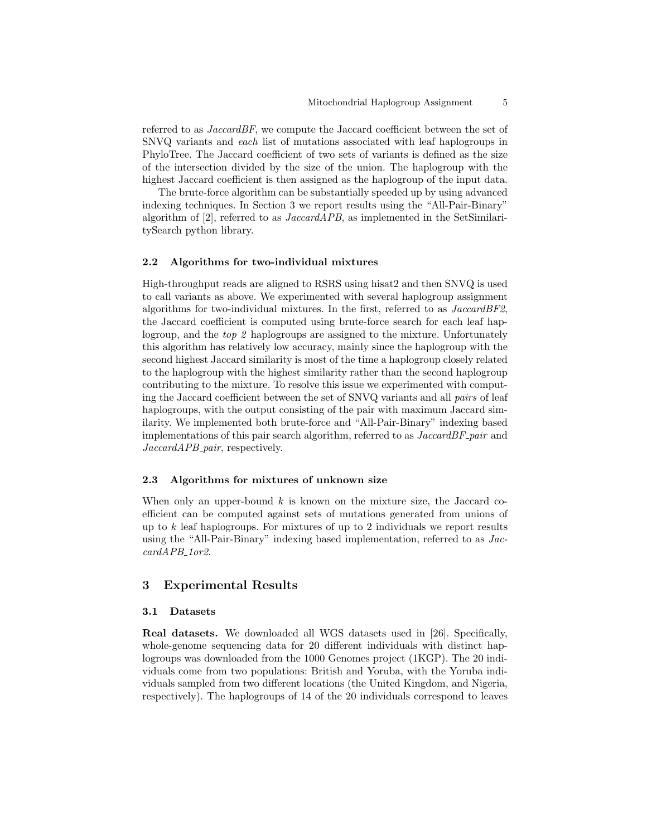referred to as JaccardBF, we compute the Jaccard coefficient between the set of SNVQ variants and each list of mutations associated with leaf haplogroups in PhyloTree. The Jaccard coefficient of two sets of variants is defined as the size of the intersection divided by the size of the union. The haplogroup with the highest Jaccard coefficient is then assigned as the haplogroup of the input data.

The brute-force algorithm can be substantially speeded up by using advanced indexing techniques. In Section 3 we report results using the "All-Pair-Binary" algorithm of [2], referred to as  $JaccardAPB$ , as implemented in the SetSimilaritySearch python library.

## 2.2 Algorithms for two-individual mixtures

High-throughput reads are aligned to RSRS using hisat2 and then SNVQ is used to call variants as above. We experimented with several haplogroup assignment algorithms for two-individual mixtures. In the first, referred to as JaccardBF2, the Jaccard coefficient is computed using brute-force search for each leaf haplogroup, and the top 2 haplogroups are assigned to the mixture. Unfortunately this algorithm has relatively low accuracy, mainly since the haplogroup with the second highest Jaccard similarity is most of the time a haplogroup closely related to the haplogroup with the highest similarity rather than the second haplogroup contributing to the mixture. To resolve this issue we experimented with computing the Jaccard coefficient between the set of SNVQ variants and all pairs of leaf haplogroups, with the output consisting of the pair with maximum Jaccard similarity. We implemented both brute-force and "All-Pair-Binary" indexing based implementations of this pair search algorithm, referred to as *JaccardBF\_pair* and JaccardAPB\_pair, respectively.

## 2.3 Algorithms for mixtures of unknown size

When only an upper-bound  $k$  is known on the mixture size, the Jaccard coefficient can be computed against sets of mutations generated from unions of up to  $k$  leaf haplogroups. For mixtures of up to 2 individuals we report results using the "All-Pair-Binary" indexing based implementation, referred to as JaccardAPB\_1or2.

# 3 Experimental Results

#### 3.1 Datasets

Real datasets. We downloaded all WGS datasets used in [26]. Specifically, whole-genome sequencing data for 20 different individuals with distinct haplogroups was downloaded from the 1000 Genomes project (1KGP). The 20 individuals come from two populations: British and Yoruba, with the Yoruba individuals sampled from two different locations (the United Kingdom, and Nigeria, respectively). The haplogroups of 14 of the 20 individuals correspond to leaves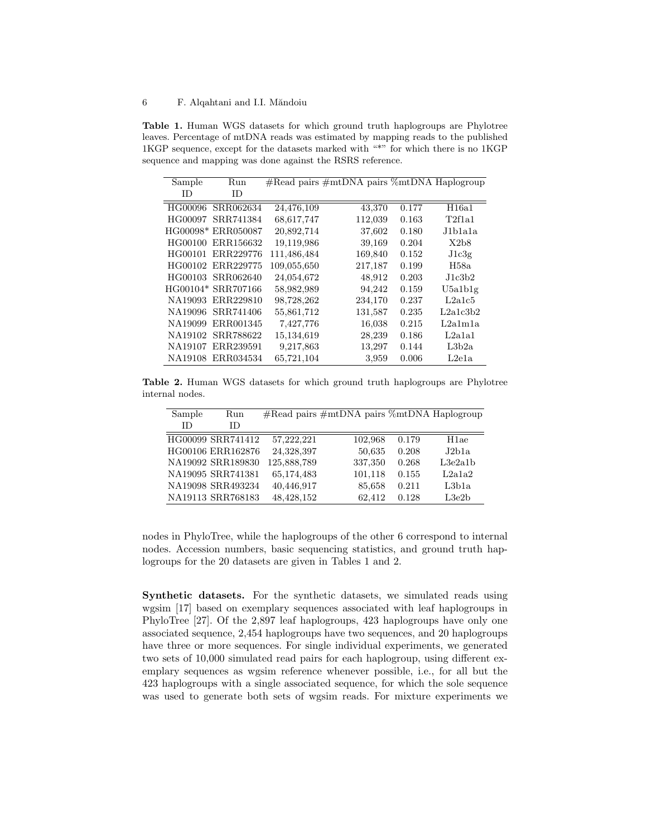Table 1. Human WGS datasets for which ground truth haplogroups are Phylotree leaves. Percentage of mtDNA reads was estimated by mapping reads to the published 1KGP sequence, except for the datasets marked with "\*" for which there is no 1KGP sequence and mapping was done against the RSRS reference.

| Sample  | Run                |             | $\#Read \ pairs \#mtDNA \ pairs \ %mtDNA \ Haplogroup$ |       |          |
|---------|--------------------|-------------|--------------------------------------------------------|-------|----------|
| ΙD      | ID                 |             |                                                        |       |          |
| HG00096 | SRR062634          | 24,476,109  | 43,370                                                 | 0.177 | H16a1    |
| HG00097 | SRR741384          | 68,617,747  | 112,039                                                | 0.163 | T2f1a1   |
|         | HG00098* ERR050087 | 20,892,714  | 37,602                                                 | 0.180 | J1b1a1a  |
| HG00100 | ERR156632          | 19,119,986  | 39,169                                                 | 0.204 | X2b8     |
| HG00101 | ERR229776          | 111,486,484 | 169,840                                                | 0.152 | J1c3g    |
|         | HG00102 ERR229775  | 109,055,650 | 217,187                                                | 0.199 | H58a     |
|         | HG00103 SRR062640  | 24,054,672  | 48,912                                                 | 0.203 | J1c3b2   |
|         | HG00104* SRR707166 | 58,982,989  | 94,242                                                 | 0.159 | U5a1b1g  |
| NA19093 | ERR229810          | 98,728,262  | 234,170                                                | 0.237 | L2a1c5   |
| NA19096 | SRR741406          | 55,861,712  | 131,587                                                | 0.235 | L2a1c3b2 |
| NA19099 | ERR001345          | 7,427,776   | 16,038                                                 | 0.215 | L2a1m1a  |
| NA19102 | SRR788622          | 15,134,619  | 28,239                                                 | 0.186 | L2a1a1   |
| NA19107 | ERR239591          | 9,217,863   | 13,297                                                 | 0.144 | L3b2a    |
| NA19108 | ERR034534          | 65,721,104  | 3,959                                                  | 0.006 | L2e1a    |

Table 2. Human WGS datasets for which ground truth haplogroups are Phylotree internal nodes.

| Sample | Run               |             | $\#Read \ pairs \#mtDNA \ pairs \ %mtDNA \ Haplogroup$ |       |                   |
|--------|-------------------|-------------|--------------------------------------------------------|-------|-------------------|
| TD.    | ΙD                |             |                                                        |       |                   |
|        | HG00099 SRR741412 | 57,222,221  | 102,968                                                | 0.179 | H <sub>1</sub> ae |
|        | HG00106 ERR162876 | 24,328,397  | 50,635                                                 | 0.208 | J2b1a             |
|        | NA19092 SRR189830 | 125,888,789 | 337,350                                                | 0.268 | L3e2a1b           |
|        | NA19095 SRR741381 | 65,174,483  | 101,118                                                | 0.155 | L2a1a2            |
|        | NA19098 SRR493234 | 40,446,917  | 85,658                                                 | 0.211 | L3b1a             |
|        | NA19113 SRR768183 | 48,428,152  | 62,412                                                 | 0.128 | L3e2b             |

nodes in PhyloTree, while the haplogroups of the other 6 correspond to internal nodes. Accession numbers, basic sequencing statistics, and ground truth haplogroups for the 20 datasets are given in Tables 1 and 2.

Synthetic datasets. For the synthetic datasets, we simulated reads using wgsim [17] based on exemplary sequences associated with leaf haplogroups in PhyloTree [27]. Of the 2,897 leaf haplogroups, 423 haplogroups have only one associated sequence, 2,454 haplogroups have two sequences, and 20 haplogroups have three or more sequences. For single individual experiments, we generated two sets of 10,000 simulated read pairs for each haplogroup, using different exemplary sequences as wgsim reference whenever possible, i.e., for all but the 423 haplogroups with a single associated sequence, for which the sole sequence was used to generate both sets of wgsim reads. For mixture experiments we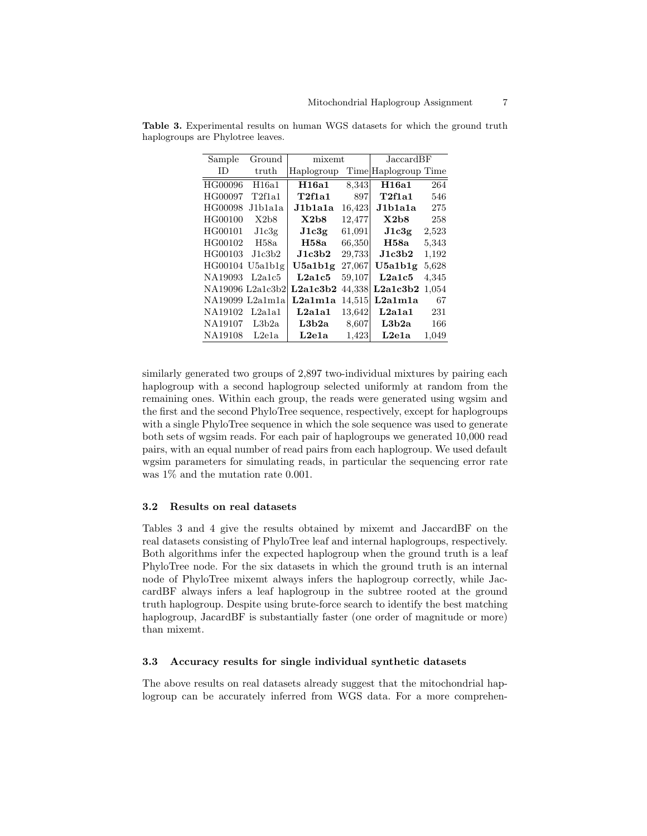| Sample              | Ground             | mixemt     |        | JaccardBF            |       |
|---------------------|--------------------|------------|--------|----------------------|-------|
| ΙD                  | truth              | Haplogroup |        | Time Haplogroup Time |       |
| HG00096             | H16a1              | H16a1      | 8,343  | H16a1                | 264   |
| HG00097             | T <sub>2f1a1</sub> | T2f1a1     | 897    | T2f1a1               | 546   |
| HG00098             | J1b1a1a            | J1b1a1a    | 16,423 | J1b1a1a              | 275   |
| HG00100             | X2b8               | X2b8       | 12,477 | X2b8                 | 258   |
| HG00101             | J1c3g              | J1c3g      | 61,091 | J1c3g                | 2,523 |
| HG00102             | H58a               | H58a       | 66,350 | $_{\rm H58a}$        | 5,343 |
| HG00103             | J1c3b2             | J1c3b2     | 29,733 | J1c3b2               | 1,192 |
| $HG00104$ $U5a1b1g$ |                    | U5a1b1g    | 27,067 | U5a1b1g              | 5,628 |
| NA19093             | L2a1c5             | L2a1c5     | 59,107 | L2a1c5               | 4,345 |
|                     | NA19096 L2a1c3b2   | L2a1c3b2   | 44,338 | L2a1c3b2             | 1,054 |
|                     | NA19099 L2a1m1a    | L2a1m1a    | 14,515 | L2a1m1a              | 67    |
| NA19102             | L2a1a1             | L2a1a1     | 13,642 | L2a1a1               | 231   |
| NA19107             | L3b2a              | L3b2a      | 8,607  | L3b2a                | 166   |
| NA19108             | L2e1a              | L2e1a      | 1,423  | L2e1a                | 1,049 |

Table 3. Experimental results on human WGS datasets for which the ground truth haplogroups are Phylotree leaves.

similarly generated two groups of 2,897 two-individual mixtures by pairing each haplogroup with a second haplogroup selected uniformly at random from the remaining ones. Within each group, the reads were generated using wgsim and the first and the second PhyloTree sequence, respectively, except for haplogroups with a single PhyloTree sequence in which the sole sequence was used to generate both sets of wgsim reads. For each pair of haplogroups we generated 10,000 read pairs, with an equal number of read pairs from each haplogroup. We used default wgsim parameters for simulating reads, in particular the sequencing error rate was 1% and the mutation rate 0.001.

## 3.2 Results on real datasets

Tables 3 and 4 give the results obtained by mixemt and JaccardBF on the real datasets consisting of PhyloTree leaf and internal haplogroups, respectively. Both algorithms infer the expected haplogroup when the ground truth is a leaf PhyloTree node. For the six datasets in which the ground truth is an internal node of PhyloTree mixemt always infers the haplogroup correctly, while JaccardBF always infers a leaf haplogroup in the subtree rooted at the ground truth haplogroup. Despite using brute-force search to identify the best matching haplogroup, JacardBF is substantially faster (one order of magnitude or more) than mixemt.

# 3.3 Accuracy results for single individual synthetic datasets

The above results on real datasets already suggest that the mitochondrial haplogroup can be accurately inferred from WGS data. For a more comprehen-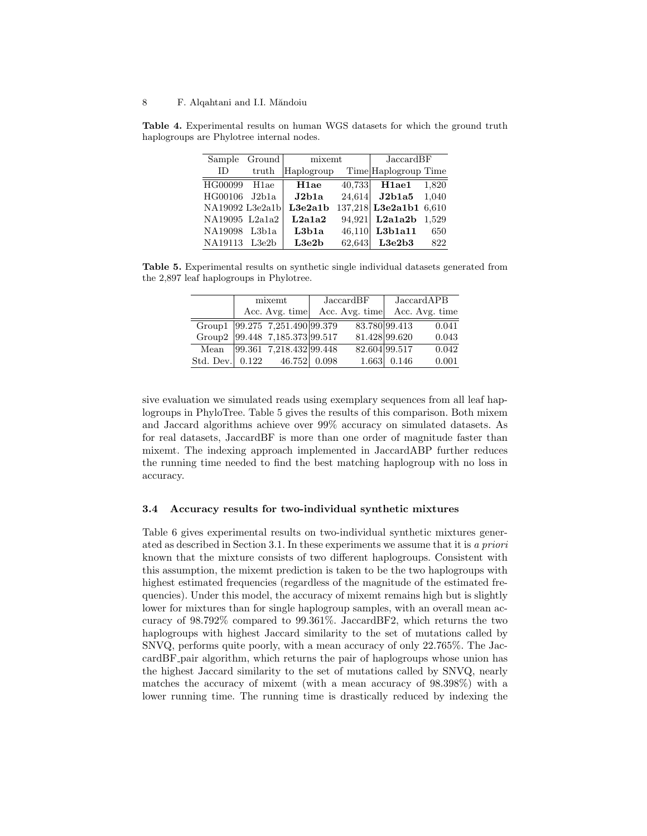Sample Ground mixemt JaccardBF ID truth Haplogroup Time Haplogroup Time HG00099 H1ae H1ae 40,733 H1ae1 1,820 HG00106 J2b1a J2b1a 24,614 J2b1a5 1,040 NA19092 L3e2a1b L3e2a1b 137,218 L3e2a1b1 6,610 NA19095 L2a1a2 | **L2a1a2** 94,921 **L2a1a2b** 1,529 NA19098 L3b1a | **L3b1a** 46,110 **L3b1a11** 650 NA19113 L3e2b | **L3e2b** 62,643 **L3e2b3** 822

Table 4. Experimental results on human WGS datasets for which the ground truth haplogroups are Phylotree internal nodes.

Table 5. Experimental results on synthetic single individual datasets generated from the 2,897 leaf haplogroups in Phylotree.

|      | mixemt |                                  | JaccardBF      | JaccardAPB    |                |
|------|--------|----------------------------------|----------------|---------------|----------------|
|      |        | Acc. Avg. time                   | Acc. Avg. time |               | Acc. Avg. time |
|      |        | Group1 99.275 7,251.490 99.379   | 83.780 99.413  |               | 0.041          |
|      |        | Group2 99.448 7,185.373 99.517   | 81.428 99.620  |               | 0.043          |
| Mean |        | $ 99.361\;\; 7{,}218.432 99.448$ |                | 82.604 99.517 | 0.042          |
|      |        | Std. Dev. 0.122 46.752 0.098     |                | $1.663$ 0.146 | 0.001          |

sive evaluation we simulated reads using exemplary sequences from all leaf haplogroups in PhyloTree. Table 5 gives the results of this comparison. Both mixem and Jaccard algorithms achieve over 99% accuracy on simulated datasets. As for real datasets, JaccardBF is more than one order of magnitude faster than mixemt. The indexing approach implemented in JaccardABP further reduces the running time needed to find the best matching haplogroup with no loss in accuracy.

#### 3.4 Accuracy results for two-individual synthetic mixtures

Table 6 gives experimental results on two-individual synthetic mixtures generated as described in Section 3.1. In these experiments we assume that it is a priori known that the mixture consists of two different haplogroups. Consistent with this assumption, the mixemt prediction is taken to be the two haplogroups with highest estimated frequencies (regardless of the magnitude of the estimated frequencies). Under this model, the accuracy of mixemt remains high but is slightly lower for mixtures than for single haplogroup samples, with an overall mean accuracy of 98.792% compared to 99.361%. JaccardBF2, which returns the two haplogroups with highest Jaccard similarity to the set of mutations called by SNVQ, performs quite poorly, with a mean accuracy of only 22.765%. The JaccardBF pair algorithm, which returns the pair of haplogroups whose union has the highest Jaccard similarity to the set of mutations called by SNVQ, nearly matches the accuracy of mixemt (with a mean accuracy of 98.398%) with a lower running time. The running time is drastically reduced by indexing the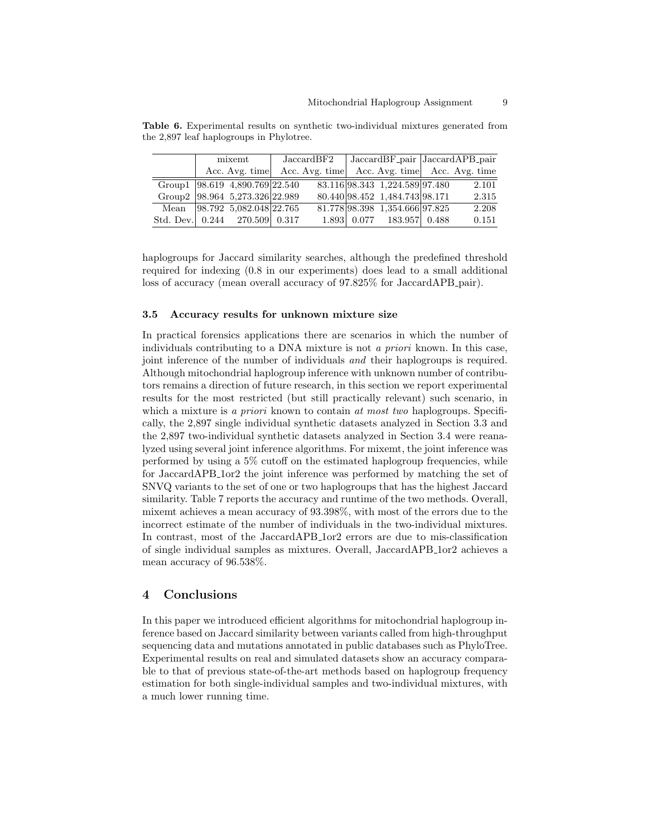| mixemt |                                         | $\rm Jaccard BF2$ |  |  |                                | $\vert$ JaccardBF <sub>-pair</sub> JaccardAPB <sub>-pair</sub> |                                                  |
|--------|-----------------------------------------|-------------------|--|--|--------------------------------|----------------------------------------------------------------|--------------------------------------------------|
|        | Acc. Avg. time                          |                   |  |  |                                |                                                                | Acc. Avg. time   Acc. Avg. time   Acc. Avg. time |
|        | Group1 $\sqrt{98.619}$ 4,890.769 22.540 |                   |  |  | 83.116 98.343 1,224.589 97.480 |                                                                | 2.101                                            |
|        | Group2 98.964 5,273.326 22.989          |                   |  |  | 80.440 98.452 1,484.743 98.171 |                                                                | 2.315                                            |
|        | Mean  98.792 5,082.048 22.765           |                   |  |  | 81.778 98.398 1,354.666 97.825 |                                                                | 2.208                                            |
|        | Std. Dev. 0.244 270.509 0.317           |                   |  |  | 1.893 0.077 183.957 0.488      |                                                                | 0.151                                            |

Table 6. Experimental results on synthetic two-individual mixtures generated from the 2,897 leaf haplogroups in Phylotree.

haplogroups for Jaccard similarity searches, although the predefined threshold required for indexing (0.8 in our experiments) does lead to a small additional loss of accuracy (mean overall accuracy of 97.825% for JaccardAPB pair).

#### 3.5 Accuracy results for unknown mixture size

In practical forensics applications there are scenarios in which the number of individuals contributing to a DNA mixture is not a priori known. In this case, joint inference of the number of individuals and their haplogroups is required. Although mitochondrial haplogroup inference with unknown number of contributors remains a direction of future research, in this section we report experimental results for the most restricted (but still practically relevant) such scenario, in which a mixture is a priori known to contain at most two haplogroups. Specifically, the 2,897 single individual synthetic datasets analyzed in Section 3.3 and the 2,897 two-individual synthetic datasets analyzed in Section 3.4 were reanalyzed using several joint inference algorithms. For mixemt, the joint inference was performed by using a 5% cutoff on the estimated haplogroup frequencies, while for JaccardAPB 1or2 the joint inference was performed by matching the set of SNVQ variants to the set of one or two haplogroups that has the highest Jaccard similarity. Table 7 reports the accuracy and runtime of the two methods. Overall, mixemt achieves a mean accuracy of 93.398%, with most of the errors due to the incorrect estimate of the number of individuals in the two-individual mixtures. In contrast, most of the JaccardAPB 1or2 errors are due to mis-classification of single individual samples as mixtures. Overall, JaccardAPB 1or2 achieves a mean accuracy of 96.538%.

## 4 Conclusions

In this paper we introduced efficient algorithms for mitochondrial haplogroup inference based on Jaccard similarity between variants called from high-throughput sequencing data and mutations annotated in public databases such as PhyloTree. Experimental results on real and simulated datasets show an accuracy comparable to that of previous state-of-the-art methods based on haplogroup frequency estimation for both single-individual samples and two-individual mixtures, with a much lower running time.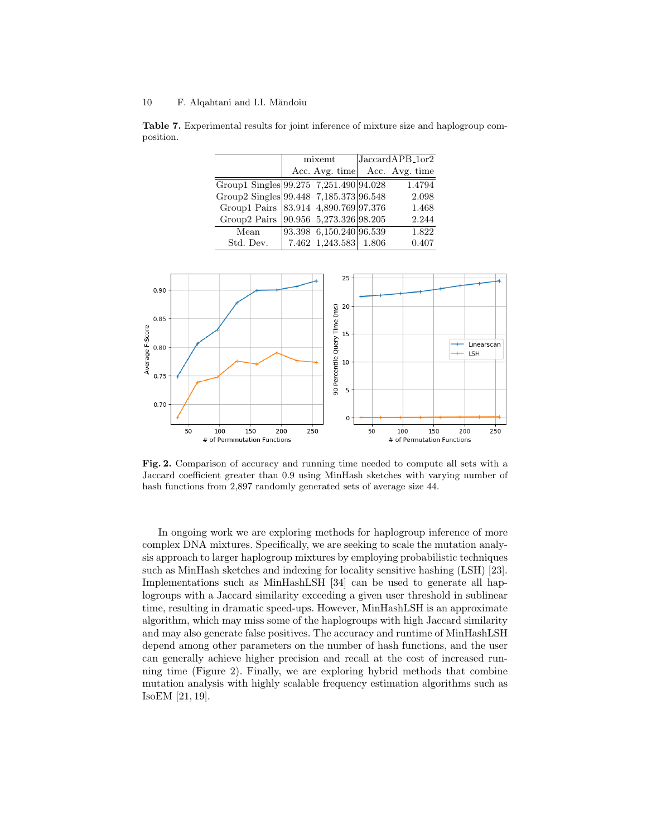Table 7. Experimental results for joint inference of mixture size and haplogroup composition.

|                                        | mixemt                       | JaccardAPB <sub>-1</sub> or2 |                               |  |
|----------------------------------------|------------------------------|------------------------------|-------------------------------|--|
|                                        |                              |                              | Acc. Avg. time Acc. Avg. time |  |
| Group1 Singles 99.275 7,251.490 94.028 |                              |                              | 1.4794                        |  |
| Group2 Singles 99.448 7,185.373 96.548 |                              |                              | 2.098                         |  |
| Group1 Pairs 83.914 4,890.769 97.376   |                              |                              | 1.468                         |  |
| Group2 Pairs                           | $ 90.956 \t5,273.326 98.205$ |                              | 2.244                         |  |
| Mean                                   | 93.398 6.150.240 96.539      |                              | 1.822                         |  |
| Std. Dev.                              | 7.462 1,243.583 1.806        |                              | 0.407                         |  |



Fig. 2. Comparison of accuracy and running time needed to compute all sets with a Jaccard coefficient greater than 0.9 using MinHash sketches with varying number of hash functions from 2,897 randomly generated sets of average size 44.

In ongoing work we are exploring methods for haplogroup inference of more complex DNA mixtures. Specifically, we are seeking to scale the mutation analysis approach to larger haplogroup mixtures by employing probabilistic techniques such as MinHash sketches and indexing for locality sensitive hashing (LSH) [23]. Implementations such as MinHashLSH [34] can be used to generate all haplogroups with a Jaccard similarity exceeding a given user threshold in sublinear time, resulting in dramatic speed-ups. However, MinHashLSH is an approximate algorithm, which may miss some of the haplogroups with high Jaccard similarity and may also generate false positives. The accuracy and runtime of MinHashLSH depend among other parameters on the number of hash functions, and the user can generally achieve higher precision and recall at the cost of increased running time (Figure 2). Finally, we are exploring hybrid methods that combine mutation analysis with highly scalable frequency estimation algorithms such as IsoEM [21, 19].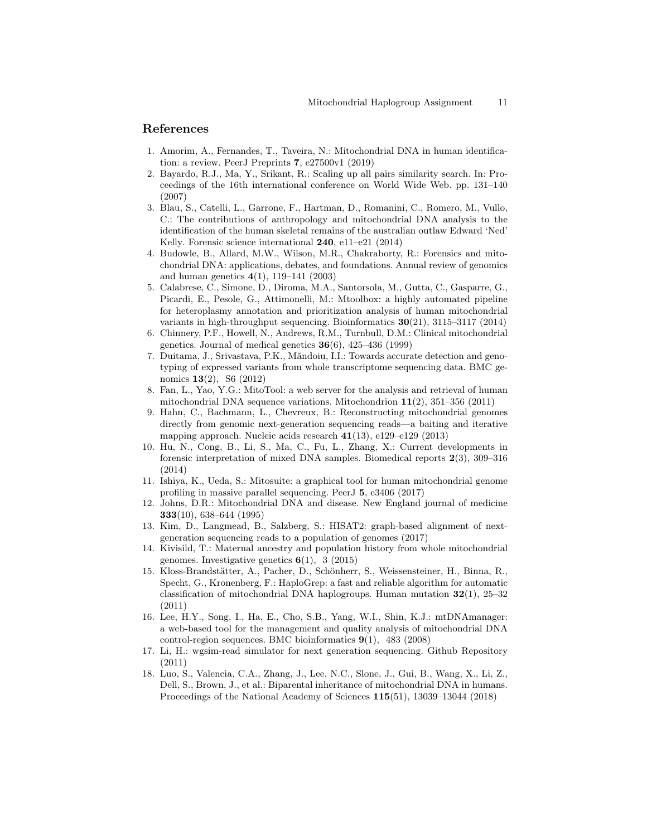# References

- 1. Amorim, A., Fernandes, T., Taveira, N.: Mitochondrial DNA in human identification: a review. PeerJ Preprints 7, e27500v1 (2019)
- 2. Bayardo, R.J., Ma, Y., Srikant, R.: Scaling up all pairs similarity search. In: Proceedings of the 16th international conference on World Wide Web. pp. 131–140 (2007)
- 3. Blau, S., Catelli, L., Garrone, F., Hartman, D., Romanini, C., Romero, M., Vullo, C.: The contributions of anthropology and mitochondrial DNA analysis to the identification of the human skeletal remains of the australian outlaw Edward 'Ned' Kelly. Forensic science international 240, e11–e21 (2014)
- 4. Budowle, B., Allard, M.W., Wilson, M.R., Chakraborty, R.: Forensics and mitochondrial DNA: applications, debates, and foundations. Annual review of genomics and human genetics 4(1), 119–141 (2003)
- 5. Calabrese, C., Simone, D., Diroma, M.A., Santorsola, M., Gutta, C., Gasparre, G., Picardi, E., Pesole, G., Attimonelli, M.: Mtoolbox: a highly automated pipeline for heteroplasmy annotation and prioritization analysis of human mitochondrial variants in high-throughput sequencing. Bioinformatics 30(21), 3115–3117 (2014)
- 6. Chinnery, P.F., Howell, N., Andrews, R.M., Turnbull, D.M.: Clinical mitochondrial genetics. Journal of medical genetics  $36(6)$ ,  $425-436$  (1999)
- 7. Duitama, J., Srivastava, P.K., Măndoiu, I.I.: Towards accurate detection and genotyping of expressed variants from whole transcriptome sequencing data. BMC genomics 13(2), S6 (2012)
- 8. Fan, L., Yao, Y.G.: MitoTool: a web server for the analysis and retrieval of human mitochondrial DNA sequence variations. Mitochondrion 11(2), 351–356 (2011)
- 9. Hahn, C., Bachmann, L., Chevreux, B.: Reconstructing mitochondrial genomes directly from genomic next-generation sequencing reads—a baiting and iterative mapping approach. Nucleic acids research 41(13), e129–e129 (2013)
- 10. Hu, N., Cong, B., Li, S., Ma, C., Fu, L., Zhang, X.: Current developments in forensic interpretation of mixed DNA samples. Biomedical reports 2(3), 309–316 (2014)
- 11. Ishiya, K., Ueda, S.: Mitosuite: a graphical tool for human mitochondrial genome profiling in massive parallel sequencing. PeerJ 5, e3406 (2017)
- 12. Johns, D.R.: Mitochondrial DNA and disease. New England journal of medicine 333(10), 638–644 (1995)
- 13. Kim, D., Langmead, B., Salzberg, S.: HISAT2: graph-based alignment of nextgeneration sequencing reads to a population of genomes (2017)
- 14. Kivisild, T.: Maternal ancestry and population history from whole mitochondrial genomes. Investigative genetics  $6(1)$ , 3 (2015)
- 15. Kloss-Brandstätter, A., Pacher, D., Schönherr, S., Weissensteiner, H., Binna, R., Specht, G., Kronenberg, F.: HaploGrep: a fast and reliable algorithm for automatic classification of mitochondrial DNA haplogroups. Human mutation  $32(1)$ ,  $25-32$ (2011)
- 16. Lee, H.Y., Song, I., Ha, E., Cho, S.B., Yang, W.I., Shin, K.J.: mtDNAmanager: a web-based tool for the management and quality analysis of mitochondrial DNA control-region sequences. BMC bioinformatics 9(1), 483 (2008)
- 17. Li, H.: wgsim-read simulator for next generation sequencing. Github Repository (2011)
- 18. Luo, S., Valencia, C.A., Zhang, J., Lee, N.C., Slone, J., Gui, B., Wang, X., Li, Z., Dell, S., Brown, J., et al.: Biparental inheritance of mitochondrial DNA in humans. Proceedings of the National Academy of Sciences 115(51), 13039–13044 (2018)